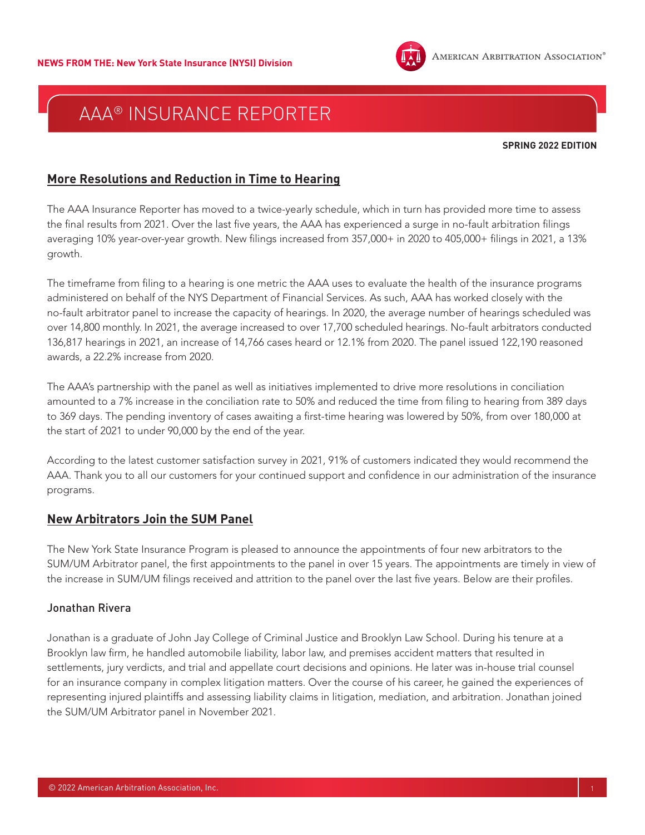

**SPRING 2022 EDITION**

## **More Resolutions and Reduction in Time to Hearing**

The AAA Insurance Reporter has moved to a twice-yearly schedule, which in turn has provided more time to assess the final results from 2021. Over the last five years, the AAA has experienced a surge in no-fault arbitration filings averaging 10% year-over-year growth. New filings increased from 357,000+ in 2020 to 405,000+ filings in 2021, a 13% growth.

The timeframe from filing to a hearing is one metric the AAA uses to evaluate the health of the insurance programs administered on behalf of the NYS Department of Financial Services. As such, AAA has worked closely with the no-fault arbitrator panel to increase the capacity of hearings. In 2020, the average number of hearings scheduled was over 14,800 monthly. In 2021, the average increased to over 17,700 scheduled hearings. No-fault arbitrators conducted 136,817 hearings in 2021, an increase of 14,766 cases heard or 12.1% from 2020. The panel issued 122,190 reasoned awards, a 22.2% increase from 2020.

The AAA's partnership with the panel as well as initiatives implemented to drive more resolutions in conciliation amounted to a 7% increase in the conciliation rate to 50% and reduced the time from filing to hearing from 389 days to 369 days. The pending inventory of cases awaiting a first-time hearing was lowered by 50%, from over 180,000 at the start of 2021 to under 90,000 by the end of the year.

According to the latest customer satisfaction survey in 2021, 91% of customers indicated they would recommend the AAA. Thank you to all our customers for your continued support and confidence in our administration of the insurance programs.

## **New Arbitrators Join the SUM Panel**

The New York State Insurance Program is pleased to announce the appointments of four new arbitrators to the SUM/UM Arbitrator panel, the first appointments to the panel in over 15 years. The appointments are timely in view of the increase in SUM/UM filings received and attrition to the panel over the last five years. Below are their profiles.

### Jonathan Rivera

Jonathan is a graduate of John Jay College of Criminal Justice and Brooklyn Law School. During his tenure at a Brooklyn law firm, he handled automobile liability, labor law, and premises accident matters that resulted in settlements, jury verdicts, and trial and appellate court decisions and opinions. He later was in-house trial counsel for an insurance company in complex litigation matters. Over the course of his career, he gained the experiences of representing injured plaintiffs and assessing liability claims in litigation, mediation, and arbitration. Jonathan joined the SUM/UM Arbitrator panel in November 2021.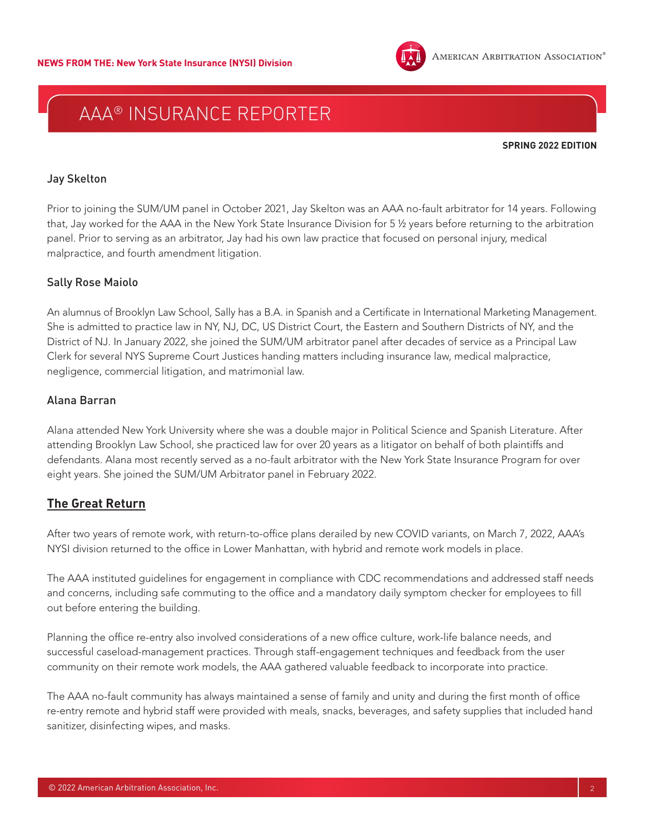

**SPRING 2022 EDITION**

#### Jay Skelton

Prior to joining the SUM/UM panel in October 2021, Jay Skelton was an AAA no-fault arbitrator for 14 years. Following that, Jay worked for the AAA in the New York State Insurance Division for 5 ½ years before returning to the arbitration panel. Prior to serving as an arbitrator, Jay had his own law practice that focused on personal injury, medical malpractice, and fourth amendment litigation.

### Sally Rose Maiolo

An alumnus of Brooklyn Law School, Sally has a B.A. in Spanish and a Certificate in International Marketing Management. She is admitted to practice law in NY, NJ, DC, US District Court, the Eastern and Southern Districts of NY, and the District of NJ. In January 2022, she joined the SUM/UM arbitrator panel after decades of service as a Principal Law Clerk for several NYS Supreme Court Justices handing matters including insurance law, medical malpractice, negligence, commercial litigation, and matrimonial law.

### Alana Barran

Alana attended New York University where she was a double major in Political Science and Spanish Literature. After attending Brooklyn Law School, she practiced law for over 20 years as a litigator on behalf of both plaintiffs and defendants. Alana most recently served as a no-fault arbitrator with the New York State Insurance Program for over eight years. She joined the SUM/UM Arbitrator panel in February 2022.

### **The Great Return**

After two years of remote work, with return-to-office plans derailed by new COVID variants, on March 7, 2022, AAA's NYSI division returned to the office in Lower Manhattan, with hybrid and remote work models in place.

The AAA instituted guidelines for engagement in compliance with CDC recommendations and addressed staff needs and concerns, including safe commuting to the office and a mandatory daily symptom checker for employees to fill out before entering the building.

Planning the office re-entry also involved considerations of a new office culture, work-life balance needs, and successful caseload-management practices. Through staff-engagement techniques and feedback from the user community on their remote work models, the AAA gathered valuable feedback to incorporate into practice.

The AAA no-fault community has always maintained a sense of family and unity and during the first month of office re-entry remote and hybrid staff were provided with meals, snacks, beverages, and safety supplies that included hand sanitizer, disinfecting wipes, and masks.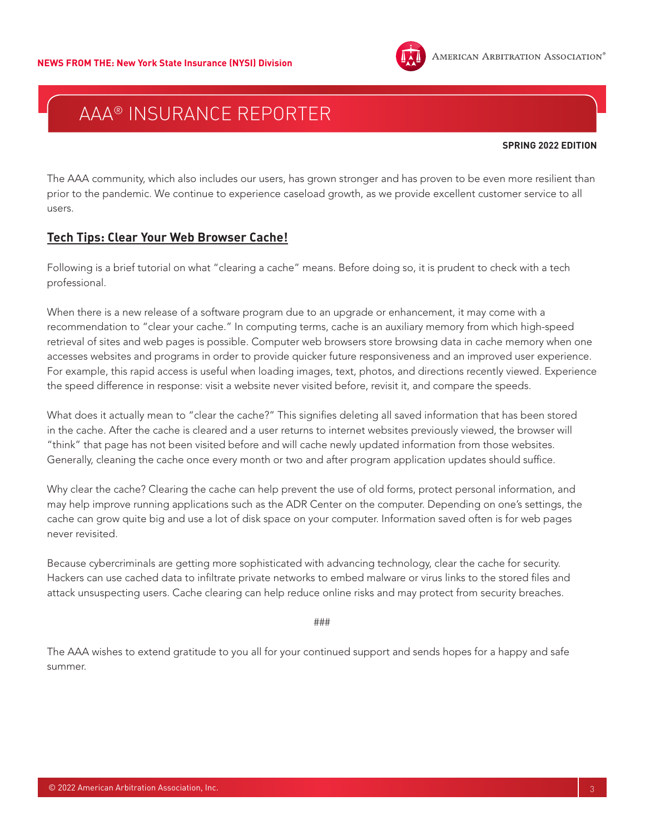

#### **SPRING 2022 EDITION**

The AAA community, which also includes our users, has grown stronger and has proven to be even more resilient than prior to the pandemic. We continue to experience caseload growth, as we provide excellent customer service to all users.

## **Tech Tips: Clear Your Web Browser Cache!**

Following is a brief tutorial on what "clearing a cache" means. Before doing so, it is prudent to check with a tech professional.

When there is a new release of a software program due to an upgrade or enhancement, it may come with a recommendation to "clear your cache." In computing terms, cache is an auxiliary memory from which high-speed retrieval of sites and web pages is possible. Computer web browsers store browsing data in cache memory when one accesses websites and programs in order to provide quicker future responsiveness and an improved user experience. For example, this rapid access is useful when loading images, text, photos, and directions recently viewed. Experience the speed difference in response: visit a website never visited before, revisit it, and compare the speeds.

What does it actually mean to "clear the cache?" This signifies deleting all saved information that has been stored in the cache. After the cache is cleared and a user returns to internet websites previously viewed, the browser will "think" that page has not been visited before and will cache newly updated information from those websites. Generally, cleaning the cache once every month or two and after program application updates should suffice.

Why clear the cache? Clearing the cache can help prevent the use of old forms, protect personal information, and may help improve running applications such as the ADR Center on the computer. Depending on one's settings, the cache can grow quite big and use a lot of disk space on your computer. Information saved often is for web pages never revisited.

Because cybercriminals are getting more sophisticated with advancing technology, clear the cache for security. Hackers can use cached data to infiltrate private networks to embed malware or virus links to the stored files and attack unsuspecting users. Cache clearing can help reduce online risks and may protect from security breaches.

###

The AAA wishes to extend gratitude to you all for your continued support and sends hopes for a happy and safe summer.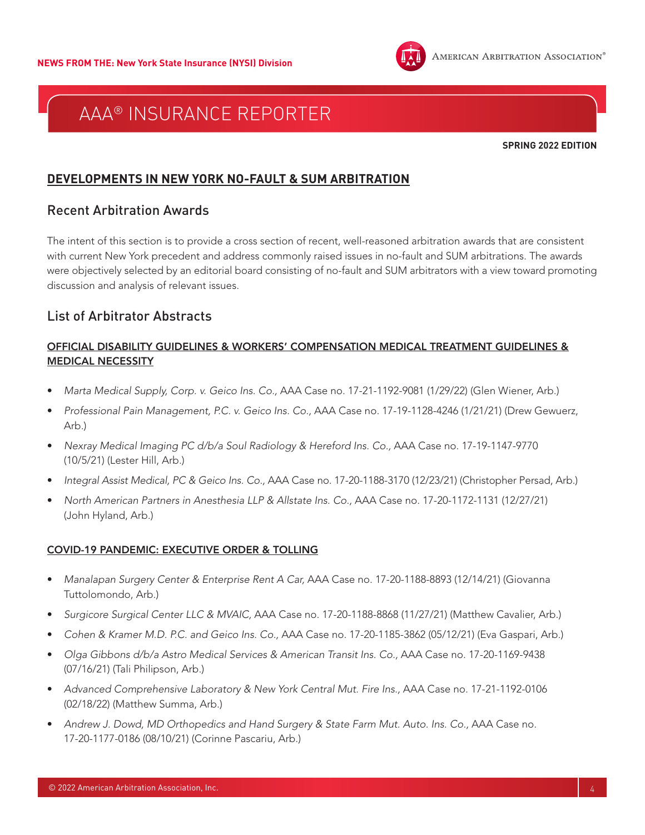#### **SPRING 2022 EDITION**

### **DEVELOPMENTS IN NEW YORK NO-FAULT & SUM ARBITRATION**

### Recent Arbitration Awards

The intent of this section is to provide a cross section of recent, well-reasoned arbitration awards that are consistent with current New York precedent and address commonly raised issues in no-fault and SUM arbitrations. The awards were objectively selected by an editorial board consisting of no-fault and SUM arbitrators with a view toward promoting discussion and analysis of relevant issues.

## List of Arbitrator Abstracts

### OFFICIAL DISABILITY GUIDELINES & WORKERS' COMPENSATION MEDICAL TREATMENT GUIDELINES & MEDICAL NECESSITY

- *Marta Medical Supply, Corp. v. Geico Ins. Co.,* AAA Case no. 17-21-1192-9081 (1/29/22) (Glen Wiener, Arb.)
- *Professional Pain Management, P.C. v. Geico Ins. Co.,* AAA Case no. 17-19-1128-4246 (1/21/21) (Drew Gewuerz, Arb.)
- *Nexray Medical Imaging PC d/b/a Soul Radiology & Hereford Ins. Co.,* AAA Case no. 17-19-1147-9770 (10/5/21) (Lester Hill, Arb.)
- *Integral Assist Medical, PC & Geico Ins. Co.,* AAA Case no. 17-20-1188-3170 (12/23/21) (Christopher Persad, Arb.)
- *North American Partners in Anesthesia LLP & Allstate Ins. Co.,* AAA Case no. 17-20-1172-1131 (12/27/21) (John Hyland, Arb.)

#### COVID-19 PANDEMIC: EXECUTIVE ORDER & TOLLING

- *Manalapan Surgery Center & Enterprise Rent A Car,* AAA Case no. 17-20-1188-8893 (12/14/21) (Giovanna Tuttolomondo, Arb.)
- *Surgicore Surgical Center LLC & MVAIC,* AAA Case no. 17-20-1188-8868 (11/27/21) (Matthew Cavalier, Arb.)
- *Cohen & Kramer M.D. P.C. and Geico Ins. Co.,* AAA Case no. 17-20-1185-3862 (05/12/21) (Eva Gaspari, Arb.)
- *Olga Gibbons d/b/a Astro Medical Services & American Transit Ins. Co.,* AAA Case no. 17-20-1169-9438 (07/16/21) (Tali Philipson, Arb.)
- *Advanced Comprehensive Laboratory & New York Central Mut. Fire Ins.,* AAA Case no. 17-21-1192-0106 (02/18/22) (Matthew Summa, Arb.)
- *Andrew J. Dowd, MD Orthopedics and Hand Surgery & State Farm Mut. Auto. Ins. Co.,* AAA Case no. 17-20-1177-0186 (08/10/21) (Corinne Pascariu, Arb.)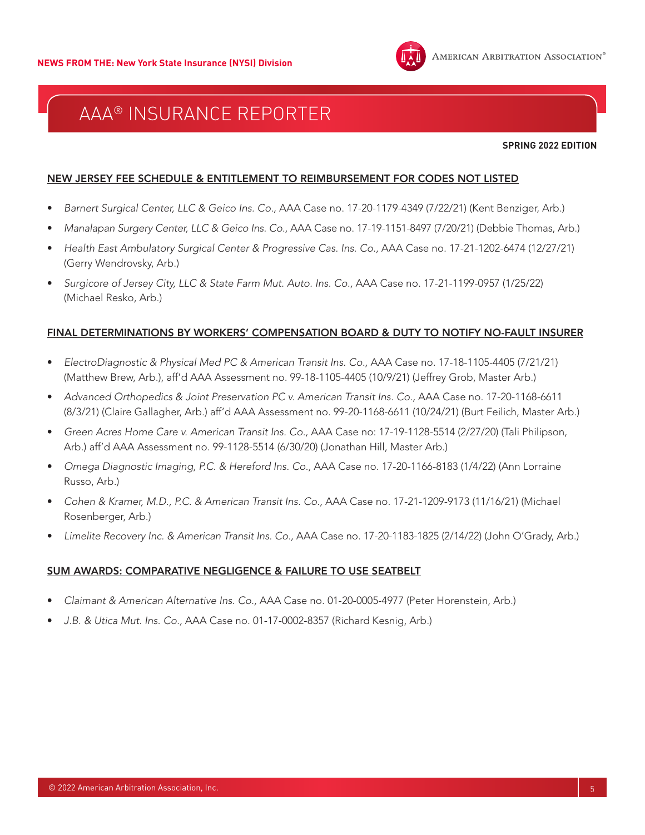

**SPRING 2022 EDITION**

#### NEW JERSEY FEE SCHEDULE & ENTITLEMENT TO REIMBURSEMENT FOR CODES NOT LISTED

- *Barnert Surgical Center, LLC & Geico Ins. Co.,* AAA Case no. 17-20-1179-4349 (7/22/21) (Kent Benziger, Arb.)
- *Manalapan Surgery Center, LLC & Geico Ins. Co.,* AAA Case no. 17-19-1151-8497 (7/20/21) (Debbie Thomas, Arb.)
- *Health East Ambulatory Surgical Center & Progressive Cas. Ins. Co.,* AAA Case no. 17-21-1202-6474 (12/27/21) (Gerry Wendrovsky, Arb.)
- *Surgicore of Jersey City, LLC & State Farm Mut. Auto. Ins. Co.,* AAA Case no. 17-21-1199-0957 (1/25/22) (Michael Resko, Arb.)

#### FINAL DETERMINATIONS BY WORKERS' COMPENSATION BOARD & DUTY TO NOTIFY NO-FAULT INSURER

- *ElectroDiagnostic & Physical Med PC & American Transit Ins. Co.,* AAA Case no. 17-18-1105-4405 (7/21/21) (Matthew Brew, Arb.), aff'd AAA Assessment no. 99-18-1105-4405 (10/9/21) (Jeffrey Grob, Master Arb.)
- Advanced Orthopedics & Joint Preservation PC v. American Transit Ins. Co., AAA Case no. 17-20-1168-6611 (8/3/21) (Claire Gallagher, Arb.) aff'd AAA Assessment no. 99-20-1168-6611 (10/24/21) (Burt Feilich, Master Arb.)
- *Green Acres Home Care v. American Transit Ins. Co.,* AAA Case no: 17-19-1128-5514 (2/27/20) (Tali Philipson, Arb.) aff'd AAA Assessment no. 99-1128-5514 (6/30/20) (Jonathan Hill, Master Arb.)
- *Omega Diagnostic Imaging, P.C. & Hereford Ins. Co.,* AAA Case no. 17-20-1166-8183 (1/4/22) (Ann Lorraine Russo, Arb.)
- *Cohen & Kramer, M.D., P.C. & American Transit Ins. Co.,* AAA Case no. 17-21-1209-9173 (11/16/21) (Michael Rosenberger, Arb.)
- *Limelite Recovery Inc. & American Transit Ins. Co.,* AAA Case no. 17-20-1183-1825 (2/14/22) (John O'Grady, Arb.)

#### SUM AWARDS: COMPARATIVE NEGLIGENCE & FAILURE TO USE SEATBELT

- *Claimant & American Alternative Ins. Co.,* AAA Case no. 01-20-0005-4977 (Peter Horenstein, Arb.)
- *J.B. & Utica Mut. Ins. Co.,* AAA Case no. 01-17-0002-8357 (Richard Kesnig, Arb.)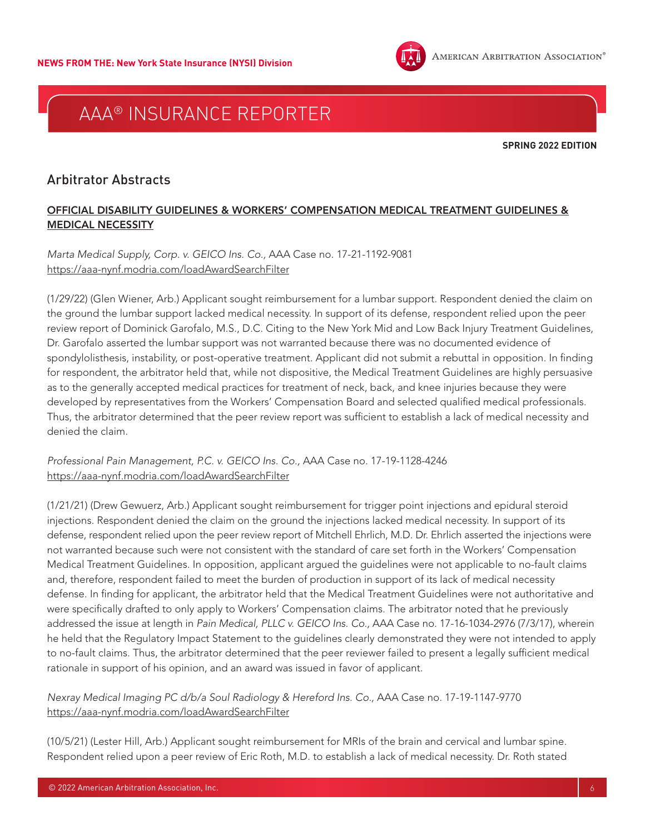

**SPRING 2022 EDITION**

## Arbitrator Abstracts

### OFFICIAL DISABILITY GUIDELINES & WORKERS' COMPENSATION MEDICAL TREATMENT GUIDELINES & MEDICAL NECESSITY

*Marta Medical Supply, Corp. v. GEICO Ins. Co.,* AAA Case no. 17-21-1192-9081 <https://aaa-nynf.modria.com/loadAwardSearchFilter>

(1/29/22) (Glen Wiener, Arb.) Applicant sought reimbursement for a lumbar support. Respondent denied the claim on the ground the lumbar support lacked medical necessity. In support of its defense, respondent relied upon the peer review report of Dominick Garofalo, M.S., D.C. Citing to the New York Mid and Low Back Injury Treatment Guidelines, Dr. Garofalo asserted the lumbar support was not warranted because there was no documented evidence of spondylolisthesis, instability, or post-operative treatment. Applicant did not submit a rebuttal in opposition. In finding for respondent, the arbitrator held that, while not dispositive, the Medical Treatment Guidelines are highly persuasive as to the generally accepted medical practices for treatment of neck, back, and knee injuries because they were developed by representatives from the Workers' Compensation Board and selected qualified medical professionals. Thus, the arbitrator determined that the peer review report was sufficient to establish a lack of medical necessity and denied the claim.

*Professional Pain Management, P.C. v. GEICO Ins. Co.,* AAA Case no. 17-19-1128-4246 <https://aaa-nynf.modria.com/loadAwardSearchFilter>

(1/21/21) (Drew Gewuerz, Arb.) Applicant sought reimbursement for trigger point injections and epidural steroid injections. Respondent denied the claim on the ground the injections lacked medical necessity. In support of its defense, respondent relied upon the peer review report of Mitchell Ehrlich, M.D. Dr. Ehrlich asserted the injections were not warranted because such were not consistent with the standard of care set forth in the Workers' Compensation Medical Treatment Guidelines. In opposition, applicant argued the guidelines were not applicable to no-fault claims and, therefore, respondent failed to meet the burden of production in support of its lack of medical necessity defense. In finding for applicant, the arbitrator held that the Medical Treatment Guidelines were not authoritative and were specifically drafted to only apply to Workers' Compensation claims. The arbitrator noted that he previously addressed the issue at length in *Pain Medical, PLLC v. GEICO Ins. Co.,* AAA Case no. 17-16-1034-2976 (7/3/17), wherein he held that the Regulatory Impact Statement to the guidelines clearly demonstrated they were not intended to apply to no-fault claims. Thus, the arbitrator determined that the peer reviewer failed to present a legally sufficient medical rationale in support of his opinion, and an award was issued in favor of applicant.

*Nexray Medical Imaging PC d/b/a Soul Radiology & Hereford Ins. Co.,* AAA Case no. 17-19-1147-9770 <https://aaa-nynf.modria.com/loadAwardSearchFilter>

(10/5/21) (Lester Hill, Arb.) Applicant sought reimbursement for MRIs of the brain and cervical and lumbar spine. Respondent relied upon a peer review of Eric Roth, M.D. to establish a lack of medical necessity. Dr. Roth stated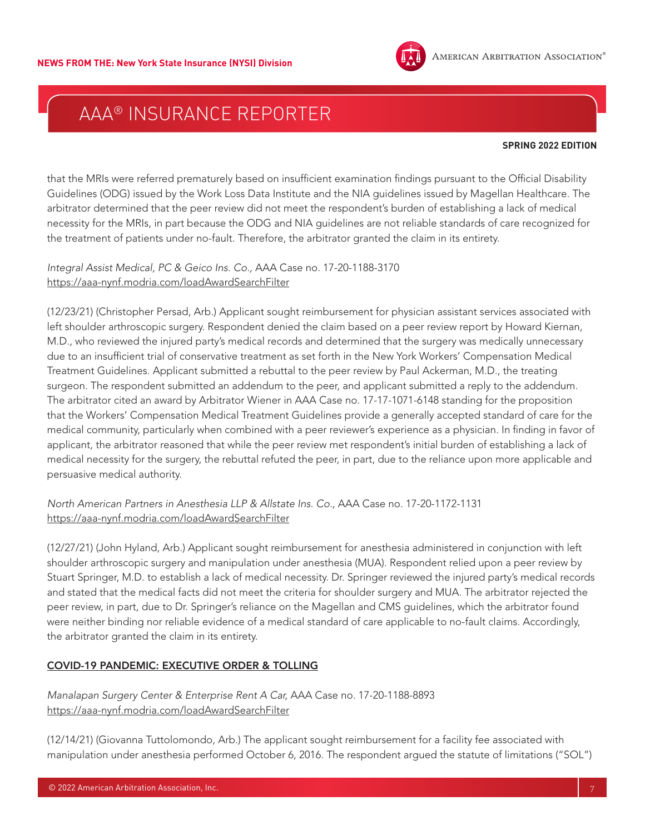

#### **SPRING 2022 EDITION**

that the MRIs were referred prematurely based on insufficient examination findings pursuant to the Official Disability Guidelines (ODG) issued by the Work Loss Data Institute and the NIA guidelines issued by Magellan Healthcare. The arbitrator determined that the peer review did not meet the respondent's burden of establishing a lack of medical necessity for the MRIs, in part because the ODG and NIA guidelines are not reliable standards of care recognized for the treatment of patients under no-fault. Therefore, the arbitrator granted the claim in its entirety.

*Integral Assist Medical, PC & Geico Ins. Co.,* AAA Case no. 17-20-1188-3170 <https://aaa-nynf.modria.com/loadAwardSearchFilter>

(12/23/21) (Christopher Persad, Arb.) Applicant sought reimbursement for physician assistant services associated with left shoulder arthroscopic surgery. Respondent denied the claim based on a peer review report by Howard Kiernan, M.D., who reviewed the injured party's medical records and determined that the surgery was medically unnecessary due to an insufficient trial of conservative treatment as set forth in the New York Workers' Compensation Medical Treatment Guidelines. Applicant submitted a rebuttal to the peer review by Paul Ackerman, M.D., the treating surgeon. The respondent submitted an addendum to the peer, and applicant submitted a reply to the addendum. The arbitrator cited an award by Arbitrator Wiener in AAA Case no. 17-17-1071-6148 standing for the proposition that the Workers' Compensation Medical Treatment Guidelines provide a generally accepted standard of care for the medical community, particularly when combined with a peer reviewer's experience as a physician. In finding in favor of applicant, the arbitrator reasoned that while the peer review met respondent's initial burden of establishing a lack of medical necessity for the surgery, the rebuttal refuted the peer, in part, due to the reliance upon more applicable and persuasive medical authority.

*North American Partners in Anesthesia LLP & Allstate Ins. Co.,* AAA Case no. 17-20-1172-1131 <https://aaa-nynf.modria.com/loadAwardSearchFilter>

(12/27/21) (John Hyland, Arb.) Applicant sought reimbursement for anesthesia administered in conjunction with left shoulder arthroscopic surgery and manipulation under anesthesia (MUA). Respondent relied upon a peer review by Stuart Springer, M.D. to establish a lack of medical necessity. Dr. Springer reviewed the injured party's medical records and stated that the medical facts did not meet the criteria for shoulder surgery and MUA. The arbitrator rejected the peer review, in part, due to Dr. Springer's reliance on the Magellan and CMS guidelines, which the arbitrator found were neither binding nor reliable evidence of a medical standard of care applicable to no-fault claims. Accordingly, the arbitrator granted the claim in its entirety.

### COVID-19 PANDEMIC: EXECUTIVE ORDER & TOLLING

*Manalapan Surgery Center & Enterprise Rent A Car,* AAA Case no. 17-20-1188-8893 <https://aaa-nynf.modria.com/loadAwardSearchFilter>

(12/14/21) (Giovanna Tuttolomondo, Arb.) The applicant sought reimbursement for a facility fee associated with manipulation under anesthesia performed October 6, 2016. The respondent argued the statute of limitations ("SOL")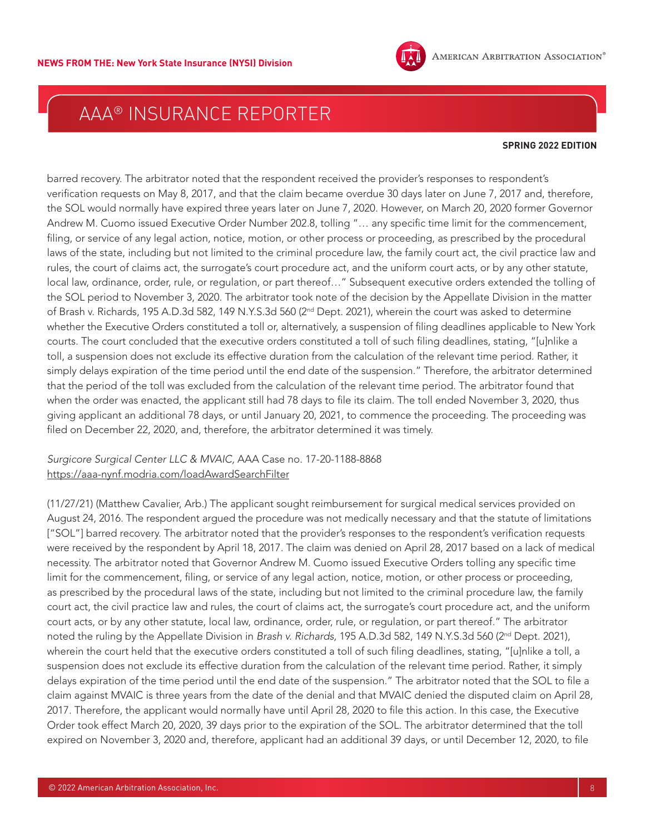

#### **SPRING 2022 EDITION**

barred recovery. The arbitrator noted that the respondent received the provider's responses to respondent's verification requests on May 8, 2017, and that the claim became overdue 30 days later on June 7, 2017 and, therefore, the SOL would normally have expired three years later on June 7, 2020. However, on March 20, 2020 former Governor Andrew M. Cuomo issued Executive Order Number 202.8, tolling "… any specific time limit for the commencement, filing, or service of any legal action, notice, motion, or other process or proceeding, as prescribed by the procedural laws of the state, including but not limited to the criminal procedure law, the family court act, the civil practice law and rules, the court of claims act, the surrogate's court procedure act, and the uniform court acts, or by any other statute, local law, ordinance, order, rule, or regulation, or part thereof…" Subsequent executive orders extended the tolling of the SOL period to November 3, 2020. The arbitrator took note of the decision by the Appellate Division in the matter of Brash v. Richards, 195 A.D.3d 582, 149 N.Y.S.3d 560 (2<sup>nd</sup> Dept. 2021), wherein the court was asked to determine whether the Executive Orders constituted a toll or, alternatively, a suspension of filing deadlines applicable to New York courts. The court concluded that the executive orders constituted a toll of such filing deadlines, stating, "[u]nlike a toll, a suspension does not exclude its effective duration from the calculation of the relevant time period. Rather, it simply delays expiration of the time period until the end date of the suspension." Therefore, the arbitrator determined that the period of the toll was excluded from the calculation of the relevant time period. The arbitrator found that when the order was enacted, the applicant still had 78 days to file its claim. The toll ended November 3, 2020, thus giving applicant an additional 78 days, or until January 20, 2021, to commence the proceeding. The proceeding was filed on December 22, 2020, and, therefore, the arbitrator determined it was timely.

#### *Surgicore Surgical Center LLC & MVAIC,* AAA Case no. 17-20-1188-8868 <https://aaa-nynf.modria.com/loadAwardSearchFilter>

(11/27/21) (Matthew Cavalier, Arb.) The applicant sought reimbursement for surgical medical services provided on August 24, 2016. The respondent argued the procedure was not medically necessary and that the statute of limitations ["SOL"] barred recovery. The arbitrator noted that the provider's responses to the respondent's verification requests were received by the respondent by April 18, 2017. The claim was denied on April 28, 2017 based on a lack of medical necessity. The arbitrator noted that Governor Andrew M. Cuomo issued Executive Orders tolling any specific time limit for the commencement, filing, or service of any legal action, notice, motion, or other process or proceeding, as prescribed by the procedural laws of the state, including but not limited to the criminal procedure law, the family court act, the civil practice law and rules, the court of claims act, the surrogate's court procedure act, and the uniform court acts, or by any other statute, local law, ordinance, order, rule, or regulation, or part thereof." The arbitrator noted the ruling by the Appellate Division in *Brash v. Richards,* 195 A.D.3d 582, 149 N.Y.S.3d 560 (2nd Dept. 2021), wherein the court held that the executive orders constituted a toll of such filing deadlines, stating, "[u]nlike a toll, a suspension does not exclude its effective duration from the calculation of the relevant time period. Rather, it simply delays expiration of the time period until the end date of the suspension." The arbitrator noted that the SOL to file a claim against MVAIC is three years from the date of the denial and that MVAIC denied the disputed claim on April 28, 2017. Therefore, the applicant would normally have until April 28, 2020 to file this action. In this case, the Executive Order took effect March 20, 2020, 39 days prior to the expiration of the SOL. The arbitrator determined that the toll expired on November 3, 2020 and, therefore, applicant had an additional 39 days, or until December 12, 2020, to file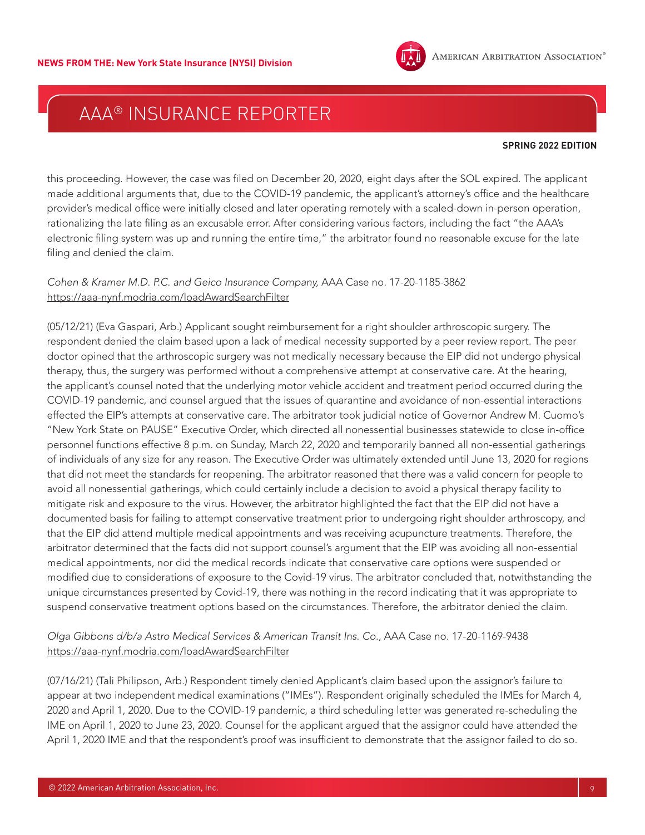

#### **SPRING 2022 EDITION**

this proceeding. However, the case was filed on December 20, 2020, eight days after the SOL expired. The applicant made additional arguments that, due to the COVID-19 pandemic, the applicant's attorney's office and the healthcare provider's medical office were initially closed and later operating remotely with a scaled-down in-person operation, rationalizing the late filing as an excusable error. After considering various factors, including the fact "the AAA's electronic filing system was up and running the entire time," the arbitrator found no reasonable excuse for the late filing and denied the claim.

#### *Cohen & Kramer M.D. P.C. and Geico Insurance Company,* AAA Case no. 17-20-1185-3862 <https://aaa-nynf.modria.com/loadAwardSearchFilter>

(05/12/21) (Eva Gaspari, Arb.) Applicant sought reimbursement for a right shoulder arthroscopic surgery. The respondent denied the claim based upon a lack of medical necessity supported by a peer review report. The peer doctor opined that the arthroscopic surgery was not medically necessary because the EIP did not undergo physical therapy, thus, the surgery was performed without a comprehensive attempt at conservative care. At the hearing, the applicant's counsel noted that the underlying motor vehicle accident and treatment period occurred during the COVID-19 pandemic, and counsel argued that the issues of quarantine and avoidance of non-essential interactions effected the EIP's attempts at conservative care. The arbitrator took judicial notice of Governor Andrew M. Cuomo's "New York State on PAUSE" Executive Order, which directed all nonessential businesses statewide to close in-office personnel functions effective 8 p.m. on Sunday, March 22, 2020 and temporarily banned all non-essential gatherings of individuals of any size for any reason. The Executive Order was ultimately extended until June 13, 2020 for regions that did not meet the standards for reopening. The arbitrator reasoned that there was a valid concern for people to avoid all nonessential gatherings, which could certainly include a decision to avoid a physical therapy facility to mitigate risk and exposure to the virus. However, the arbitrator highlighted the fact that the EIP did not have a documented basis for failing to attempt conservative treatment prior to undergoing right shoulder arthroscopy, and that the EIP did attend multiple medical appointments and was receiving acupuncture treatments. Therefore, the arbitrator determined that the facts did not support counsel's argument that the EIP was avoiding all non-essential medical appointments, nor did the medical records indicate that conservative care options were suspended or modified due to considerations of exposure to the Covid-19 virus. The arbitrator concluded that, notwithstanding the unique circumstances presented by Covid-19, there was nothing in the record indicating that it was appropriate to suspend conservative treatment options based on the circumstances. Therefore, the arbitrator denied the claim.

### *Olga Gibbons d/b/a Astro Medical Services & American Transit Ins. Co.,* AAA Case no. 17-20-1169-9438 <https://aaa-nynf.modria.com/loadAwardSearchFilter>

(07/16/21) (Tali Philipson, Arb.) Respondent timely denied Applicant's claim based upon the assignor's failure to appear at two independent medical examinations ("IMEs"). Respondent originally scheduled the IMEs for March 4, 2020 and April 1, 2020. Due to the COVID-19 pandemic, a third scheduling letter was generated re-scheduling the IME on April 1, 2020 to June 23, 2020. Counsel for the applicant argued that the assignor could have attended the April 1, 2020 IME and that the respondent's proof was insufficient to demonstrate that the assignor failed to do so.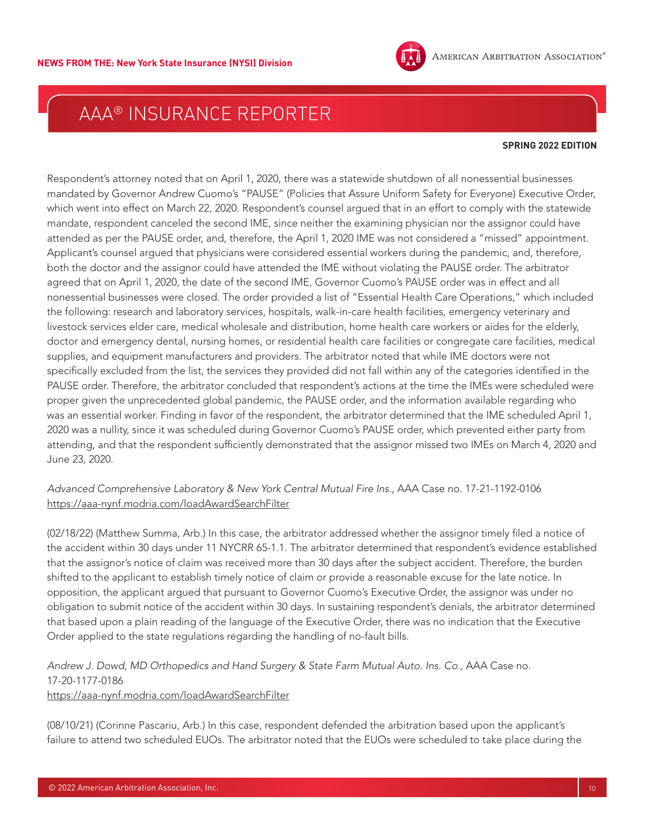

#### **SPRING 2022 EDITION**

Respondent's attorney noted that on April 1, 2020, there was a statewide shutdown of all nonessential businesses mandated by Governor Andrew Cuomo's "PAUSE" (Policies that Assure Uniform Safety for Everyone) Executive Order, which went into effect on March 22, 2020. Respondent's counsel argued that in an effort to comply with the statewide mandate, respondent canceled the second IME, since neither the examining physician nor the assignor could have attended as per the PAUSE order, and, therefore, the April 1, 2020 IME was not considered a "missed" appointment. Applicant's counsel argued that physicians were considered essential workers during the pandemic, and, therefore, both the doctor and the assignor could have attended the IME without violating the PAUSE order. The arbitrator agreed that on April 1, 2020, the date of the second IME, Governor Cuomo's PAUSE order was in effect and all nonessential businesses were closed. The order provided a list of "Essential Health Care Operations," which included the following: research and laboratory services, hospitals, walk-in-care health facilities, emergency veterinary and livestock services elder care, medical wholesale and distribution, home health care workers or aides for the elderly, doctor and emergency dental, nursing homes, or residential health care facilities or congregate care facilities, medical supplies, and equipment manufacturers and providers. The arbitrator noted that while IME doctors were not specifically excluded from the list, the services they provided did not fall within any of the categories identified in the PAUSE order. Therefore, the arbitrator concluded that respondent's actions at the time the IMEs were scheduled were proper given the unprecedented global pandemic, the PAUSE order, and the information available regarding who was an essential worker. Finding in favor of the respondent, the arbitrator determined that the IME scheduled April 1, 2020 was a nullity, since it was scheduled during Governor Cuomo's PAUSE order, which prevented either party from attending, and that the respondent sufficiently demonstrated that the assignor missed two IMEs on March 4, 2020 and June 23, 2020.

*Advanced Comprehensive Laboratory & New York Central Mutual Fire Ins.,* AAA Case no. 17-21-1192-0106 <https://aaa-nynf.modria.com/loadAwardSearchFilter>

(02/18/22) (Matthew Summa, Arb.) In this case, the arbitrator addressed whether the assignor timely filed a notice of the accident within 30 days under 11 NYCRR 65-1.1. The arbitrator determined that respondent's evidence established that the assignor's notice of claim was received more than 30 days after the subject accident. Therefore, the burden shifted to the applicant to establish timely notice of claim or provide a reasonable excuse for the late notice. In opposition, the applicant argued that pursuant to Governor Cuomo's Executive Order, the assignor was under no obligation to submit notice of the accident within 30 days. In sustaining respondent's denials, the arbitrator determined that based upon a plain reading of the language of the Executive Order, there was no indication that the Executive Order applied to the state regulations regarding the handling of no-fault bills.

*Andrew J. Dowd, MD Orthopedics and Hand Surgery & State Farm Mutual Auto. Ins. Co.,* AAA Case no. 17-20-1177-0186 <https://aaa-nynf.modria.com/loadAwardSearchFilter>

(08/10/21) (Corinne Pascariu, Arb.) In this case, respondent defended the arbitration based upon the applicant's failure to attend two scheduled EUOs. The arbitrator noted that the EUOs were scheduled to take place during the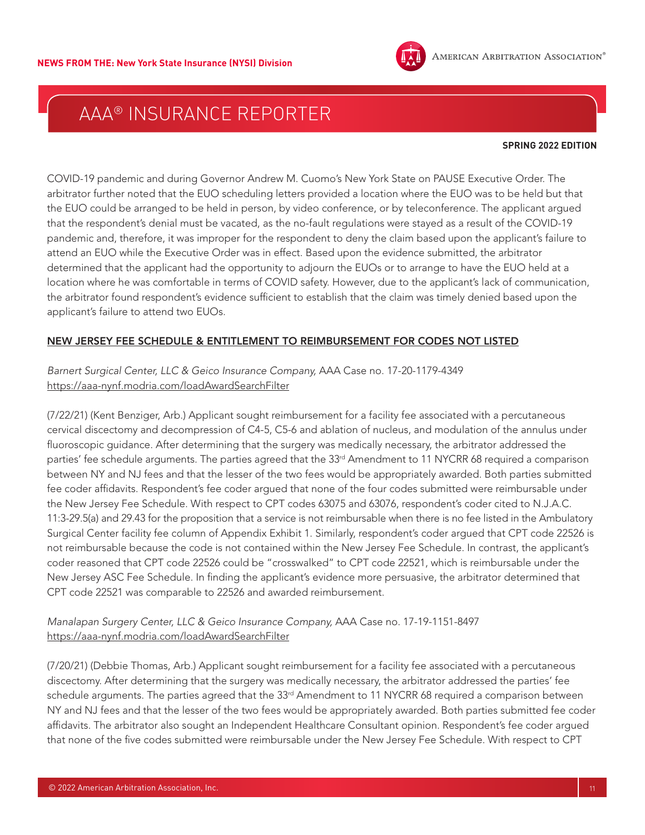

#### **SPRING 2022 EDITION**

COVID-19 pandemic and during Governor Andrew M. Cuomo's New York State on PAUSE Executive Order. The arbitrator further noted that the EUO scheduling letters provided a location where the EUO was to be held but that the EUO could be arranged to be held in person, by video conference, or by teleconference. The applicant argued that the respondent's denial must be vacated, as the no-fault regulations were stayed as a result of the COVID-19 pandemic and, therefore, it was improper for the respondent to deny the claim based upon the applicant's failure to attend an EUO while the Executive Order was in effect. Based upon the evidence submitted, the arbitrator determined that the applicant had the opportunity to adjourn the EUOs or to arrange to have the EUO held at a location where he was comfortable in terms of COVID safety. However, due to the applicant's lack of communication, the arbitrator found respondent's evidence sufficient to establish that the claim was timely denied based upon the applicant's failure to attend two EUOs.

#### NEW JERSEY FEE SCHEDULE & ENTITLEMENT TO REIMBURSEMENT FOR CODES NOT LISTED

### *Barnert Surgical Center, LLC & Geico Insurance Company,* AAA Case no. 17-20-1179-4349 <https://aaa-nynf.modria.com/loadAwardSearchFilter>

(7/22/21) (Kent Benziger, Arb.) Applicant sought reimbursement for a facility fee associated with a percutaneous cervical discectomy and decompression of C4-5, C5-6 and ablation of nucleus, and modulation of the annulus under fluoroscopic guidance. After determining that the surgery was medically necessary, the arbitrator addressed the parties' fee schedule arguments. The parties agreed that the 33<sup>rd</sup> Amendment to 11 NYCRR 68 required a comparison between NY and NJ fees and that the lesser of the two fees would be appropriately awarded. Both parties submitted fee coder affidavits. Respondent's fee coder argued that none of the four codes submitted were reimbursable under the New Jersey Fee Schedule. With respect to CPT codes 63075 and 63076, respondent's coder cited to N.J.A.C. 11:3-29.5(a) and 29.43 for the proposition that a service is not reimbursable when there is no fee listed in the Ambulatory Surgical Center facility fee column of Appendix Exhibit 1. Similarly, respondent's coder argued that CPT code 22526 is not reimbursable because the code is not contained within the New Jersey Fee Schedule. In contrast, the applicant's coder reasoned that CPT code 22526 could be "crosswalked" to CPT code 22521, which is reimbursable under the New Jersey ASC Fee Schedule. In finding the applicant's evidence more persuasive, the arbitrator determined that CPT code 22521 was comparable to 22526 and awarded reimbursement.

### *Manalapan Surgery Center, LLC & Geico Insurance Company,* AAA Case no. 17-19-1151-8497 <https://aaa-nynf.modria.com/loadAwardSearchFilter>

(7/20/21) (Debbie Thomas, Arb.) Applicant sought reimbursement for a facility fee associated with a percutaneous discectomy. After determining that the surgery was medically necessary, the arbitrator addressed the parties' fee schedule arguments. The parties agreed that the 33<sup>rd</sup> Amendment to 11 NYCRR 68 required a comparison between NY and NJ fees and that the lesser of the two fees would be appropriately awarded. Both parties submitted fee coder affidavits. The arbitrator also sought an Independent Healthcare Consultant opinion. Respondent's fee coder argued that none of the five codes submitted were reimbursable under the New Jersey Fee Schedule. With respect to CPT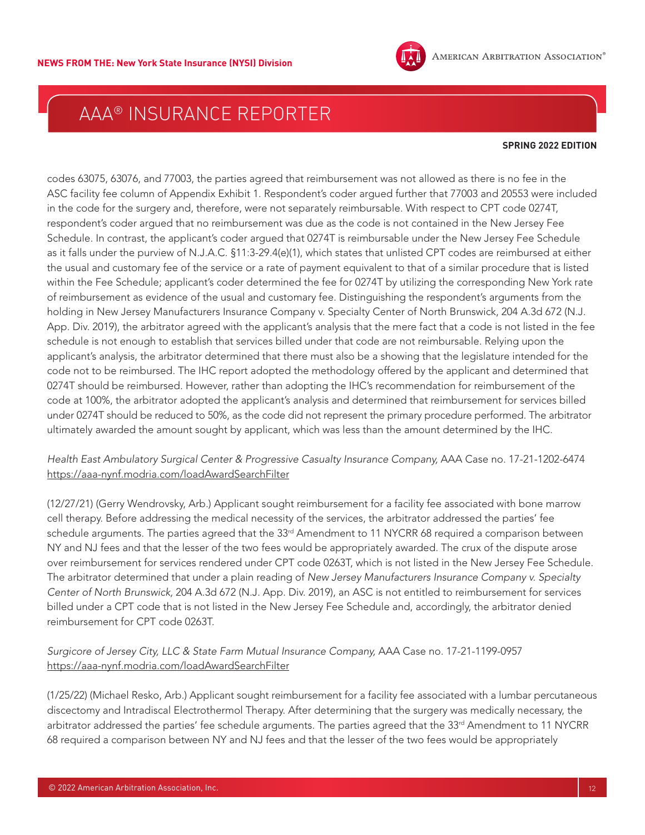

#### **SPRING 2022 EDITION**

codes 63075, 63076, and 77003, the parties agreed that reimbursement was not allowed as there is no fee in the ASC facility fee column of Appendix Exhibit 1. Respondent's coder argued further that 77003 and 20553 were included in the code for the surgery and, therefore, were not separately reimbursable. With respect to CPT code 0274T, respondent's coder argued that no reimbursement was due as the code is not contained in the New Jersey Fee Schedule. In contrast, the applicant's coder argued that 0274T is reimbursable under the New Jersey Fee Schedule as it falls under the purview of N.J.A.C. §11:3-29.4(e)(1), which states that unlisted CPT codes are reimbursed at either the usual and customary fee of the service or a rate of payment equivalent to that of a similar procedure that is listed within the Fee Schedule; applicant's coder determined the fee for 0274T by utilizing the corresponding New York rate of reimbursement as evidence of the usual and customary fee. Distinguishing the respondent's arguments from the holding in New Jersey Manufacturers Insurance Company v. Specialty Center of North Brunswick, 204 A.3d 672 (N.J. App. Div. 2019), the arbitrator agreed with the applicant's analysis that the mere fact that a code is not listed in the fee schedule is not enough to establish that services billed under that code are not reimbursable. Relying upon the applicant's analysis, the arbitrator determined that there must also be a showing that the legislature intended for the code not to be reimbursed. The IHC report adopted the methodology offered by the applicant and determined that 0274T should be reimbursed. However, rather than adopting the IHC's recommendation for reimbursement of the code at 100%, the arbitrator adopted the applicant's analysis and determined that reimbursement for services billed under 0274T should be reduced to 50%, as the code did not represent the primary procedure performed. The arbitrator ultimately awarded the amount sought by applicant, which was less than the amount determined by the IHC.

*Health East Ambulatory Surgical Center & Progressive Casualty Insurance Company,* AAA Case no. 17-21-1202-6474 <https://aaa-nynf.modria.com/loadAwardSearchFilter>

(12/27/21) (Gerry Wendrovsky, Arb.) Applicant sought reimbursement for a facility fee associated with bone marrow cell therapy. Before addressing the medical necessity of the services, the arbitrator addressed the parties' fee schedule arguments. The parties agreed that the 33<sup>rd</sup> Amendment to 11 NYCRR 68 required a comparison between NY and NJ fees and that the lesser of the two fees would be appropriately awarded. The crux of the dispute arose over reimbursement for services rendered under CPT code 0263T, which is not listed in the New Jersey Fee Schedule. The arbitrator determined that under a plain reading of *New Jersey Manufacturers Insurance Company v. Specialty Center of North Brunswick,* 204 A.3d 672 (N.J. App. Div. 2019), an ASC is not entitled to reimbursement for services billed under a CPT code that is not listed in the New Jersey Fee Schedule and, accordingly, the arbitrator denied reimbursement for CPT code 0263T.

### *Surgicore of Jersey City, LLC & State Farm Mutual Insurance Company,* AAA Case no. 17-21-1199-0957 <https://aaa-nynf.modria.com/loadAwardSearchFilter>

(1/25/22) (Michael Resko, Arb.) Applicant sought reimbursement for a facility fee associated with a lumbar percutaneous discectomy and Intradiscal Electrothermol Therapy. After determining that the surgery was medically necessary, the arbitrator addressed the parties' fee schedule arguments. The parties agreed that the 33rd Amendment to 11 NYCRR 68 required a comparison between NY and NJ fees and that the lesser of the two fees would be appropriately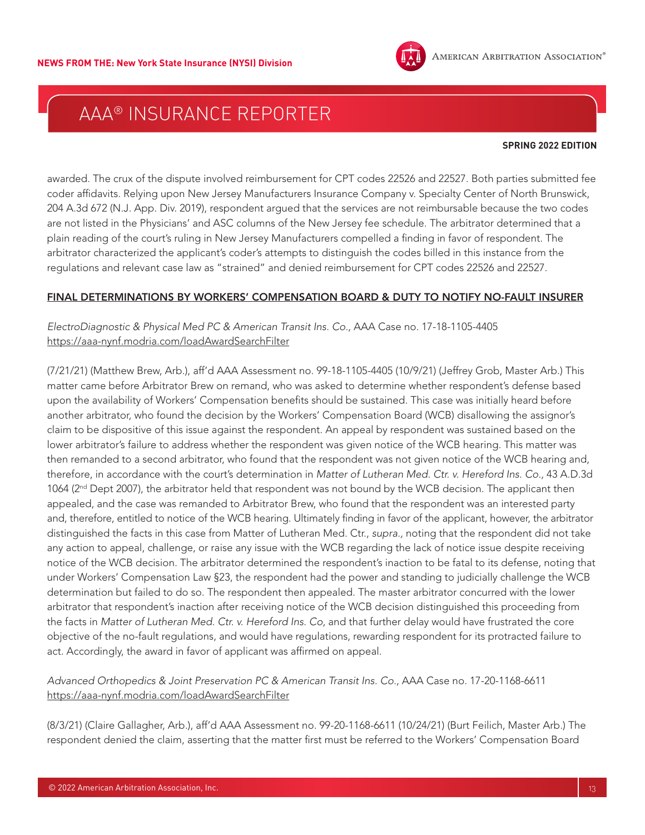

#### **SPRING 2022 EDITION**

awarded. The crux of the dispute involved reimbursement for CPT codes 22526 and 22527. Both parties submitted fee coder affidavits. Relying upon New Jersey Manufacturers Insurance Company v. Specialty Center of North Brunswick, 204 A.3d 672 (N.J. App. Div. 2019), respondent argued that the services are not reimbursable because the two codes are not listed in the Physicians' and ASC columns of the New Jersey fee schedule. The arbitrator determined that a plain reading of the court's ruling in New Jersey Manufacturers compelled a finding in favor of respondent. The arbitrator characterized the applicant's coder's attempts to distinguish the codes billed in this instance from the regulations and relevant case law as "strained" and denied reimbursement for CPT codes 22526 and 22527.

#### FINAL DETERMINATIONS BY WORKERS' COMPENSATION BOARD & DUTY TO NOTIFY NO-FAULT INSURER

### *ElectroDiagnostic & Physical Med PC & American Transit Ins. Co.,* AAA Case no. 17-18-1105-4405 <https://aaa-nynf.modria.com/loadAwardSearchFilter>

(7/21/21) (Matthew Brew, Arb.), aff'd AAA Assessment no. 99-18-1105-4405 (10/9/21) (Jeffrey Grob, Master Arb.) This matter came before Arbitrator Brew on remand, who was asked to determine whether respondent's defense based upon the availability of Workers' Compensation benefits should be sustained. This case was initially heard before another arbitrator, who found the decision by the Workers' Compensation Board (WCB) disallowing the assignor's claim to be dispositive of this issue against the respondent. An appeal by respondent was sustained based on the lower arbitrator's failure to address whether the respondent was given notice of the WCB hearing. This matter was then remanded to a second arbitrator, who found that the respondent was not given notice of the WCB hearing and, therefore, in accordance with the court's determination in *Matter of Lutheran Med. Ctr. v. Hereford Ins. Co.,* 43 A.D.3d 1064 (2<sup>nd</sup> Dept 2007), the arbitrator held that respondent was not bound by the WCB decision. The applicant then appealed, and the case was remanded to Arbitrator Brew, who found that the respondent was an interested party and, therefore, entitled to notice of the WCB hearing. Ultimately finding in favor of the applicant, however, the arbitrator distinguished the facts in this case from Matter of Lutheran Med. Ctr., *supra.,* noting that the respondent did not take any action to appeal, challenge, or raise any issue with the WCB regarding the lack of notice issue despite receiving notice of the WCB decision. The arbitrator determined the respondent's inaction to be fatal to its defense, noting that under Workers' Compensation Law §23, the respondent had the power and standing to judicially challenge the WCB determination but failed to do so. The respondent then appealed. The master arbitrator concurred with the lower arbitrator that respondent's inaction after receiving notice of the WCB decision distinguished this proceeding from the facts in *Matter of Lutheran Med. Ctr. v. Hereford Ins. Co,* and that further delay would have frustrated the core objective of the no-fault regulations, and would have regulations, rewarding respondent for its protracted failure to act. Accordingly, the award in favor of applicant was affirmed on appeal.

### *Advanced Orthopedics & Joint Preservation PC & American Transit Ins. Co.,* AAA Case no. 17-20-1168-6611 <https://aaa-nynf.modria.com/loadAwardSearchFilter>

(8/3/21) (Claire Gallagher, Arb.), aff'd AAA Assessment no. 99-20-1168-6611 (10/24/21) (Burt Feilich, Master Arb.) The respondent denied the claim, asserting that the matter first must be referred to the Workers' Compensation Board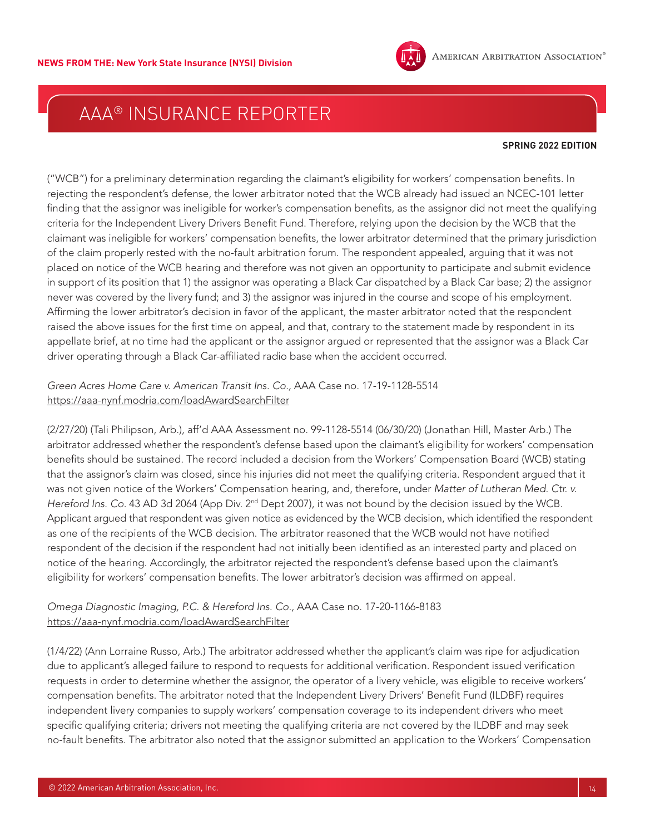

#### **SPRING 2022 EDITION**

("WCB") for a preliminary determination regarding the claimant's eligibility for workers' compensation benefits. In rejecting the respondent's defense, the lower arbitrator noted that the WCB already had issued an NCEC-101 letter finding that the assignor was ineligible for worker's compensation benefits, as the assignor did not meet the qualifying criteria for the Independent Livery Drivers Benefit Fund. Therefore, relying upon the decision by the WCB that the claimant was ineligible for workers' compensation benefits, the lower arbitrator determined that the primary jurisdiction of the claim properly rested with the no-fault arbitration forum. The respondent appealed, arguing that it was not placed on notice of the WCB hearing and therefore was not given an opportunity to participate and submit evidence in support of its position that 1) the assignor was operating a Black Car dispatched by a Black Car base; 2) the assignor never was covered by the livery fund; and 3) the assignor was injured in the course and scope of his employment. Affirming the lower arbitrator's decision in favor of the applicant, the master arbitrator noted that the respondent raised the above issues for the first time on appeal, and that, contrary to the statement made by respondent in its appellate brief, at no time had the applicant or the assignor argued or represented that the assignor was a Black Car driver operating through a Black Car-affiliated radio base when the accident occurred.

*Green Acres Home Care v. American Transit Ins. Co.,* AAA Case no. 17-19-1128-5514 <https://aaa-nynf.modria.com/loadAwardSearchFilter>

(2/27/20) (Tali Philipson, Arb.), aff'd AAA Assessment no. 99-1128-5514 (06/30/20) (Jonathan Hill, Master Arb.) The arbitrator addressed whether the respondent's defense based upon the claimant's eligibility for workers' compensation benefits should be sustained. The record included a decision from the Workers' Compensation Board (WCB) stating that the assignor's claim was closed, since his injuries did not meet the qualifying criteria. Respondent argued that it was not given notice of the Workers' Compensation hearing, and, therefore, under *Matter of Lutheran Med. Ctr. v.*  Hereford Ins. Co. 43 AD 3d 2064 (App Div. 2<sup>nd</sup> Dept 2007), it was not bound by the decision issued by the WCB. Applicant argued that respondent was given notice as evidenced by the WCB decision, which identified the respondent as one of the recipients of the WCB decision. The arbitrator reasoned that the WCB would not have notified respondent of the decision if the respondent had not initially been identified as an interested party and placed on notice of the hearing. Accordingly, the arbitrator rejected the respondent's defense based upon the claimant's eligibility for workers' compensation benefits. The lower arbitrator's decision was affirmed on appeal.

### *Omega Diagnostic Imaging, P.C. & Hereford Ins. Co.,* AAA Case no. 17-20-1166-8183 <https://aaa-nynf.modria.com/loadAwardSearchFilter>

(1/4/22) (Ann Lorraine Russo, Arb.) The arbitrator addressed whether the applicant's claim was ripe for adjudication due to applicant's alleged failure to respond to requests for additional verification. Respondent issued verification requests in order to determine whether the assignor, the operator of a livery vehicle, was eligible to receive workers' compensation benefits. The arbitrator noted that the Independent Livery Drivers' Benefit Fund (ILDBF) requires independent livery companies to supply workers' compensation coverage to its independent drivers who meet specific qualifying criteria; drivers not meeting the qualifying criteria are not covered by the ILDBF and may seek no-fault benefits. The arbitrator also noted that the assignor submitted an application to the Workers' Compensation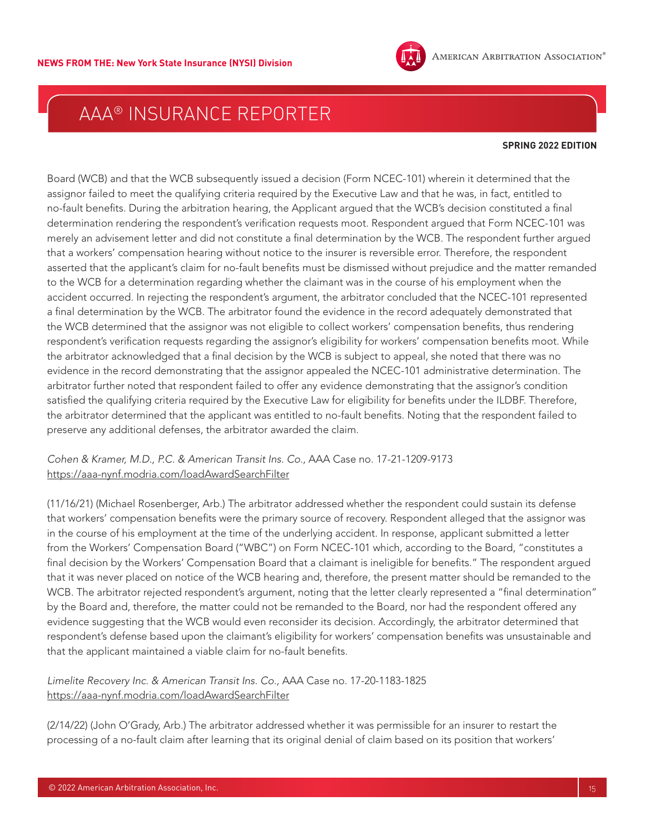

#### **SPRING 2022 EDITION**

Board (WCB) and that the WCB subsequently issued a decision (Form NCEC-101) wherein it determined that the assignor failed to meet the qualifying criteria required by the Executive Law and that he was, in fact, entitled to no-fault benefits. During the arbitration hearing, the Applicant argued that the WCB's decision constituted a final determination rendering the respondent's verification requests moot. Respondent argued that Form NCEC-101 was merely an advisement letter and did not constitute a final determination by the WCB. The respondent further argued that a workers' compensation hearing without notice to the insurer is reversible error. Therefore, the respondent asserted that the applicant's claim for no-fault benefits must be dismissed without prejudice and the matter remanded to the WCB for a determination regarding whether the claimant was in the course of his employment when the accident occurred. In rejecting the respondent's argument, the arbitrator concluded that the NCEC-101 represented a final determination by the WCB. The arbitrator found the evidence in the record adequately demonstrated that the WCB determined that the assignor was not eligible to collect workers' compensation benefits, thus rendering respondent's verification requests regarding the assignor's eligibility for workers' compensation benefits moot. While the arbitrator acknowledged that a final decision by the WCB is subject to appeal, she noted that there was no evidence in the record demonstrating that the assignor appealed the NCEC-101 administrative determination. The arbitrator further noted that respondent failed to offer any evidence demonstrating that the assignor's condition satisfied the qualifying criteria required by the Executive Law for eligibility for benefits under the ILDBF. Therefore, the arbitrator determined that the applicant was entitled to no-fault benefits. Noting that the respondent failed to preserve any additional defenses, the arbitrator awarded the claim.

*Cohen & Kramer, M.D., P.C. & American Transit Ins. Co.,* AAA Case no. 17-21-1209-9173 <https://aaa-nynf.modria.com/loadAwardSearchFilter>

(11/16/21) (Michael Rosenberger, Arb.) The arbitrator addressed whether the respondent could sustain its defense that workers' compensation benefits were the primary source of recovery. Respondent alleged that the assignor was in the course of his employment at the time of the underlying accident. In response, applicant submitted a letter from the Workers' Compensation Board ("WBC") on Form NCEC-101 which, according to the Board, "constitutes a final decision by the Workers' Compensation Board that a claimant is ineligible for benefits." The respondent argued that it was never placed on notice of the WCB hearing and, therefore, the present matter should be remanded to the WCB. The arbitrator rejected respondent's argument, noting that the letter clearly represented a "final determination" by the Board and, therefore, the matter could not be remanded to the Board, nor had the respondent offered any evidence suggesting that the WCB would even reconsider its decision. Accordingly, the arbitrator determined that respondent's defense based upon the claimant's eligibility for workers' compensation benefits was unsustainable and that the applicant maintained a viable claim for no-fault benefits.

*Limelite Recovery Inc. & American Transit Ins. Co.,* AAA Case no. 17-20-1183-1825 <https://aaa-nynf.modria.com/loadAwardSearchFilter>

(2/14/22) (John O'Grady, Arb.) The arbitrator addressed whether it was permissible for an insurer to restart the processing of a no-fault claim after learning that its original denial of claim based on its position that workers'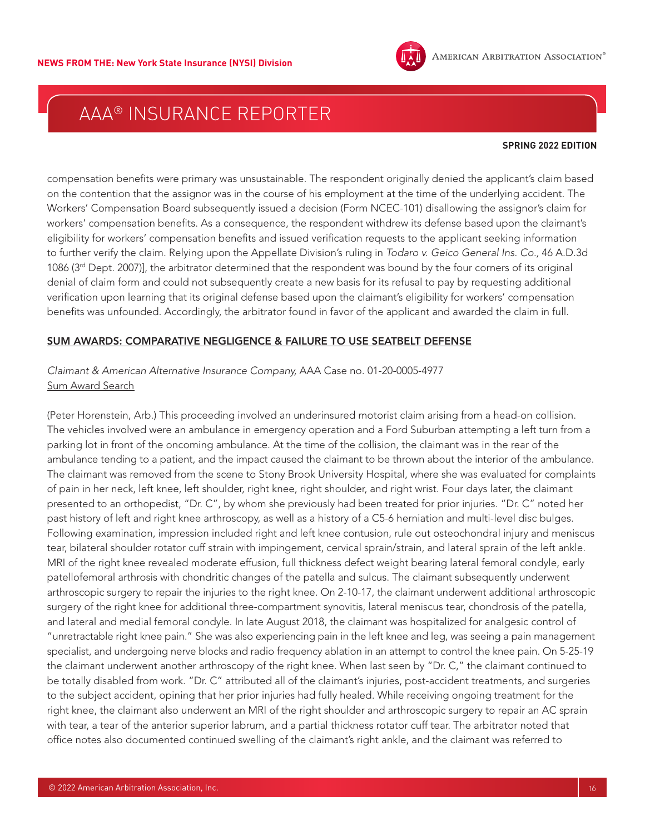

#### **SPRING 2022 EDITION**

compensation benefits were primary was unsustainable. The respondent originally denied the applicant's claim based on the contention that the assignor was in the course of his employment at the time of the underlying accident. The Workers' Compensation Board subsequently issued a decision (Form NCEC-101) disallowing the assignor's claim for workers' compensation benefits. As a consequence, the respondent withdrew its defense based upon the claimant's eligibility for workers' compensation benefits and issued verification requests to the applicant seeking information to further verify the claim. Relying upon the Appellate Division's ruling in *Todaro v. Geico General Ins. Co.,* 46 A.D.3d 1086 (3<sup>rd</sup> Dept. 2007)], the arbitrator determined that the respondent was bound by the four corners of its original denial of claim form and could not subsequently create a new basis for its refusal to pay by requesting additional verification upon learning that its original defense based upon the claimant's eligibility for workers' compensation benefits was unfounded. Accordingly, the arbitrator found in favor of the applicant and awarded the claim in full.

#### SUM AWARDS: COMPARATIVE NEGLIGENCE & FAILURE TO USE SEATBELT DEFENSE

### *Claimant & American Alternative Insurance Company,* AAA Case no. 01-20-0005-4977 [Sum Award Search](https://apps.adr.org/AwardSearch/faces/awardSearch.jsf;jsessionid=ROfIitKXrsJWV_BHF3TbVWfimZ-SMT-IZ2oC6Bo8Qfi2YKgpsKzK!101295697)

(Peter Horenstein, Arb.) This proceeding involved an underinsured motorist claim arising from a head-on collision. The vehicles involved were an ambulance in emergency operation and a Ford Suburban attempting a left turn from a parking lot in front of the oncoming ambulance. At the time of the collision, the claimant was in the rear of the ambulance tending to a patient, and the impact caused the claimant to be thrown about the interior of the ambulance. The claimant was removed from the scene to Stony Brook University Hospital, where she was evaluated for complaints of pain in her neck, left knee, left shoulder, right knee, right shoulder, and right wrist. Four days later, the claimant presented to an orthopedist, "Dr. C", by whom she previously had been treated for prior injuries. "Dr. C" noted her past history of left and right knee arthroscopy, as well as a history of a C5-6 herniation and multi-level disc bulges. Following examination, impression included right and left knee contusion, rule out osteochondral injury and meniscus tear, bilateral shoulder rotator cuff strain with impingement, cervical sprain/strain, and lateral sprain of the left ankle. MRI of the right knee revealed moderate effusion, full thickness defect weight bearing lateral femoral condyle, early patellofemoral arthrosis with chondritic changes of the patella and sulcus. The claimant subsequently underwent arthroscopic surgery to repair the injuries to the right knee. On 2-10-17, the claimant underwent additional arthroscopic surgery of the right knee for additional three-compartment synovitis, lateral meniscus tear, chondrosis of the patella, and lateral and medial femoral condyle. In late August 2018, the claimant was hospitalized for analgesic control of "unretractable right knee pain." She was also experiencing pain in the left knee and leg, was seeing a pain management specialist, and undergoing nerve blocks and radio frequency ablation in an attempt to control the knee pain. On 5-25-19 the claimant underwent another arthroscopy of the right knee. When last seen by "Dr. C," the claimant continued to be totally disabled from work. "Dr. C" attributed all of the claimant's injuries, post-accident treatments, and surgeries to the subject accident, opining that her prior injuries had fully healed. While receiving ongoing treatment for the right knee, the claimant also underwent an MRI of the right shoulder and arthroscopic surgery to repair an AC sprain with tear, a tear of the anterior superior labrum, and a partial thickness rotator cuff tear. The arbitrator noted that office notes also documented continued swelling of the claimant's right ankle, and the claimant was referred to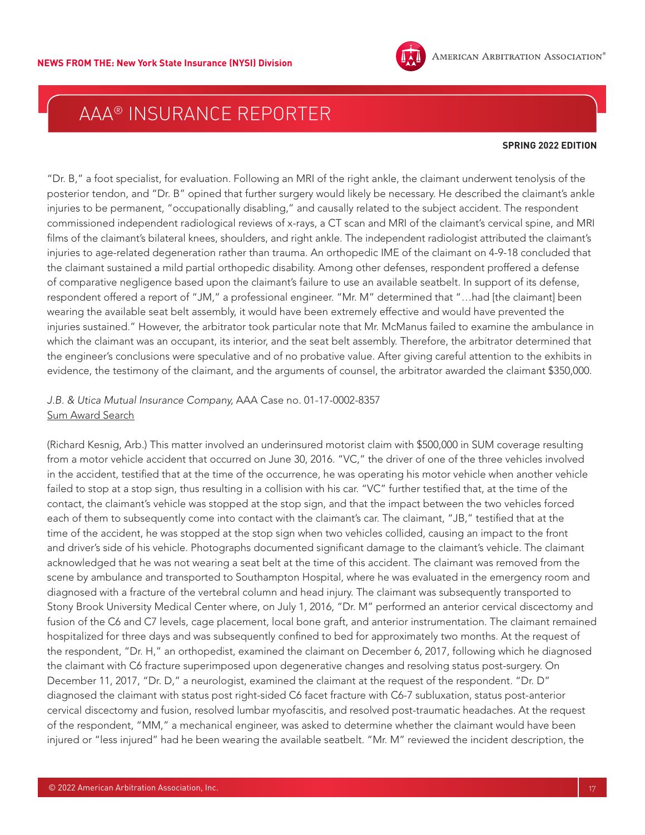

#### **SPRING 2022 EDITION**

"Dr. B," a foot specialist, for evaluation. Following an MRI of the right ankle, the claimant underwent tenolysis of the posterior tendon, and "Dr. B" opined that further surgery would likely be necessary. He described the claimant's ankle injuries to be permanent, "occupationally disabling," and causally related to the subject accident. The respondent commissioned independent radiological reviews of x-rays, a CT scan and MRI of the claimant's cervical spine, and MRI films of the claimant's bilateral knees, shoulders, and right ankle. The independent radiologist attributed the claimant's injuries to age-related degeneration rather than trauma. An orthopedic IME of the claimant on 4-9-18 concluded that the claimant sustained a mild partial orthopedic disability. Among other defenses, respondent proffered a defense of comparative negligence based upon the claimant's failure to use an available seatbelt. In support of its defense, respondent offered a report of "JM," a professional engineer. "Mr. M" determined that "…had [the claimant] been wearing the available seat belt assembly, it would have been extremely effective and would have prevented the injuries sustained." However, the arbitrator took particular note that Mr. McManus failed to examine the ambulance in which the claimant was an occupant, its interior, and the seat belt assembly. Therefore, the arbitrator determined that the engineer's conclusions were speculative and of no probative value. After giving careful attention to the exhibits in evidence, the testimony of the claimant, and the arguments of counsel, the arbitrator awarded the claimant \$350,000.

### *J.B. & Utica Mutual Insurance Company,* AAA Case no. 01-17-0002-8357 [Sum Award Search](https://apps.adr.org/AwardSearch/faces/awardSearch.jsf;jsessionid=ROfIitKXrsJWV_BHF3TbVWfimZ-SMT-IZ2oC6Bo8Qfi2YKgpsKzK!101295697)

(Richard Kesnig, Arb.) This matter involved an underinsured motorist claim with \$500,000 in SUM coverage resulting from a motor vehicle accident that occurred on June 30, 2016. "VC," the driver of one of the three vehicles involved in the accident, testified that at the time of the occurrence, he was operating his motor vehicle when another vehicle failed to stop at a stop sign, thus resulting in a collision with his car. "VC" further testified that, at the time of the contact, the claimant's vehicle was stopped at the stop sign, and that the impact between the two vehicles forced each of them to subsequently come into contact with the claimant's car. The claimant, "JB," testified that at the time of the accident, he was stopped at the stop sign when two vehicles collided, causing an impact to the front and driver's side of his vehicle. Photographs documented significant damage to the claimant's vehicle. The claimant acknowledged that he was not wearing a seat belt at the time of this accident. The claimant was removed from the scene by ambulance and transported to Southampton Hospital, where he was evaluated in the emergency room and diagnosed with a fracture of the vertebral column and head injury. The claimant was subsequently transported to Stony Brook University Medical Center where, on July 1, 2016, "Dr. M" performed an anterior cervical discectomy and fusion of the C6 and C7 levels, cage placement, local bone graft, and anterior instrumentation. The claimant remained hospitalized for three days and was subsequently confined to bed for approximately two months. At the request of the respondent, "Dr. H," an orthopedist, examined the claimant on December 6, 2017, following which he diagnosed the claimant with C6 fracture superimposed upon degenerative changes and resolving status post-surgery. On December 11, 2017, "Dr. D," a neurologist, examined the claimant at the request of the respondent. "Dr. D" diagnosed the claimant with status post right-sided C6 facet fracture with C6-7 subluxation, status post-anterior cervical discectomy and fusion, resolved lumbar myofascitis, and resolved post-traumatic headaches. At the request of the respondent, "MM," a mechanical engineer, was asked to determine whether the claimant would have been injured or "less injured" had he been wearing the available seatbelt. "Mr. M" reviewed the incident description, the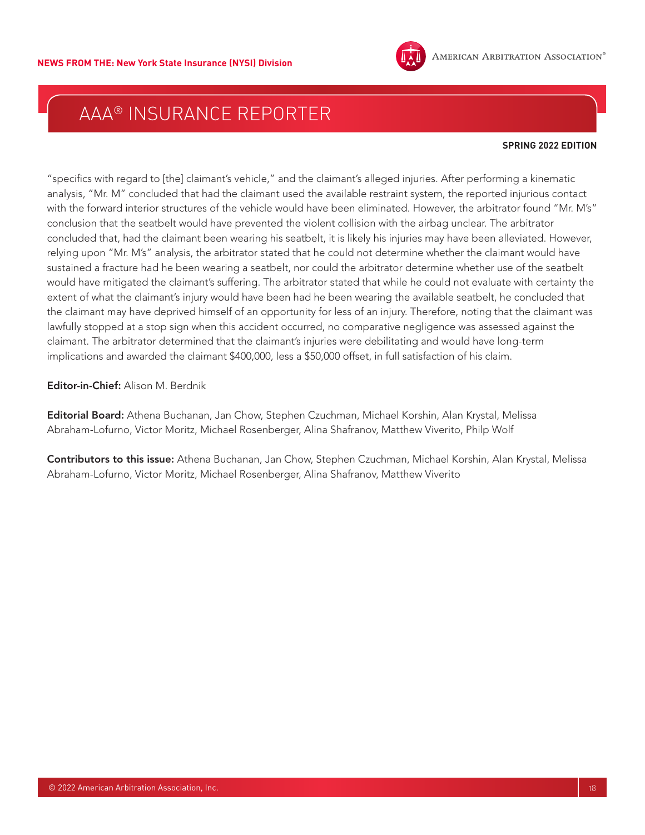

#### **SPRING 2022 EDITION**

"specifics with regard to [the] claimant's vehicle," and the claimant's alleged injuries. After performing a kinematic analysis, "Mr. M" concluded that had the claimant used the available restraint system, the reported injurious contact with the forward interior structures of the vehicle would have been eliminated. However, the arbitrator found "Mr. M's" conclusion that the seatbelt would have prevented the violent collision with the airbag unclear. The arbitrator concluded that, had the claimant been wearing his seatbelt, it is likely his injuries may have been alleviated. However, relying upon "Mr. M's" analysis, the arbitrator stated that he could not determine whether the claimant would have sustained a fracture had he been wearing a seatbelt, nor could the arbitrator determine whether use of the seatbelt would have mitigated the claimant's suffering. The arbitrator stated that while he could not evaluate with certainty the extent of what the claimant's injury would have been had he been wearing the available seatbelt, he concluded that the claimant may have deprived himself of an opportunity for less of an injury. Therefore, noting that the claimant was lawfully stopped at a stop sign when this accident occurred, no comparative negligence was assessed against the claimant. The arbitrator determined that the claimant's injuries were debilitating and would have long-term implications and awarded the claimant \$400,000, less a \$50,000 offset, in full satisfaction of his claim.

Editor-in-Chief: Alison M. Berdnik

Editorial Board: Athena Buchanan, Jan Chow, Stephen Czuchman, Michael Korshin, Alan Krystal, Melissa Abraham-Lofurno, Victor Moritz, Michael Rosenberger, Alina Shafranov, Matthew Viverito, Philp Wolf

Contributors to this issue: Athena Buchanan, Jan Chow, Stephen Czuchman, Michael Korshin, Alan Krystal, Melissa Abraham-Lofurno, Victor Moritz, Michael Rosenberger, Alina Shafranov, Matthew Viverito